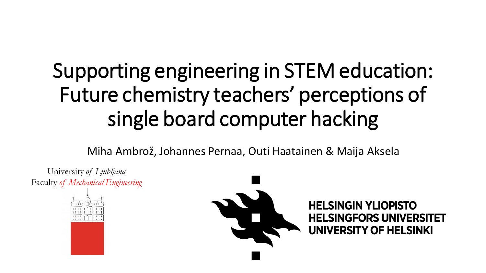# Supporting engineering in STEM education: Future chemistry teachers' perceptions of single board computer hacking

Miha Ambrož, Johannes Pernaa, Outi Haatainen & Maija Aksela

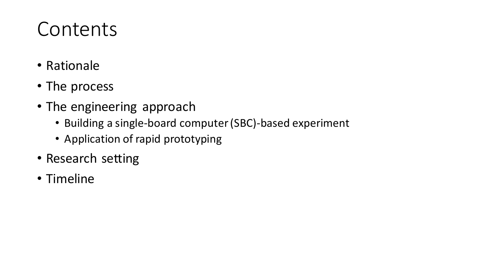#### Contents

- Rationale
- The process
- The engineering approach
	- Building a single-board computer (SBC)-based experiment
	- Application of rapid prototyping
- Research setting
- Timeline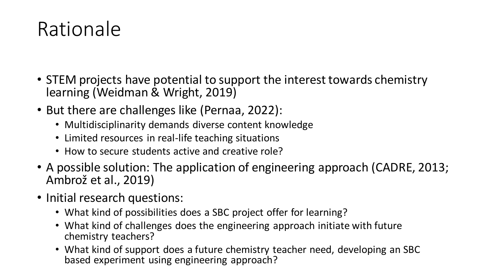#### Rationale

- STEM projects have potential to support the interest towards chemistry learning (Weidman & Wright, 2019)
- But there are challenges like (Pernaa, 2022):
	- Multidisciplinarity demands diverse content knowledge
	- Limited resources in real-life teaching situations
	- How to secure students active and creative role?
- A possible solution: The application of engineering approach (CADRE, 2013; Ambrož et al., 2019)
- Initial research questions:
	- What kind of possibilities does a SBC project offer for learning?
	- What kind of challenges does the engineering approach initiate with future chemistry teachers?
	- What kind of support does a future chemistry teacher need, developing an SBC based experiment using engineering approach?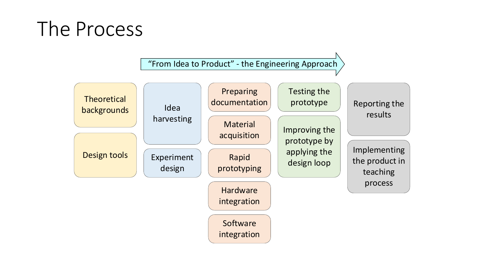#### The Process

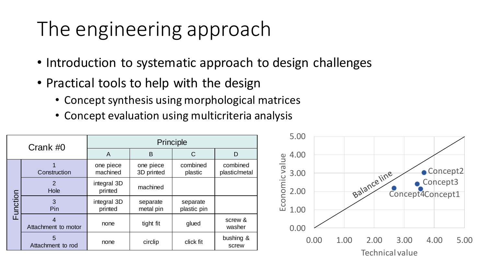#### The engineering approach

- Introduction to systematic approach to design challenges
- Practical tools to help with the design
	- Concept synthesis using morphological matrices
	- Concept evaluation using multicriteria analysis

| Crank #0     |                        | Principle              |                         |                         |                           | 5.00                                             |  |      |             |  |      |                                        |      |
|--------------|------------------------|------------------------|-------------------------|-------------------------|---------------------------|--------------------------------------------------|--|------|-------------|--|------|----------------------------------------|------|
|              |                        | A                      | B                       | $\mathsf C$             | D                         |                                                  |  |      |             |  |      |                                        |      |
| unction<br>ய | Construction           | one piece<br>machined  | one piece<br>3D printed | combined<br>plastic     | combined<br>plastic/metal | $\frac{9}{5}$ 4.00<br>$\frac{3}{5}$ 3.00<br>3.00 |  |      |             |  |      | Concept2                               |      |
|              | 2<br>Hole              | integral 3D<br>printed | machined                |                         |                           | <b>JOMIC</b><br>2.00                             |  |      | Balanceline |  |      | $\bullet$ Concept3<br>Concept4Concept1 |      |
|              | Pin                    | integral 3D<br>printed | separate<br>metal pin   | separate<br>plastic pin |                           | Ecor<br>1.00                                     |  |      |             |  |      |                                        |      |
|              | Attachment to motor    | none                   | tight fit               | glued                   | screw &<br>washer         | 0.00                                             |  |      |             |  |      |                                        |      |
|              | 5<br>Attachment to rod | none                   | circlip                 | click fit               | bushing &<br>screw        | 0.00                                             |  | 1.00 | 2.00        |  | 3.00 | 4.00                                   | 5.00 |
|              |                        | Technical value        |                         |                         |                           |                                                  |  |      |             |  |      |                                        |      |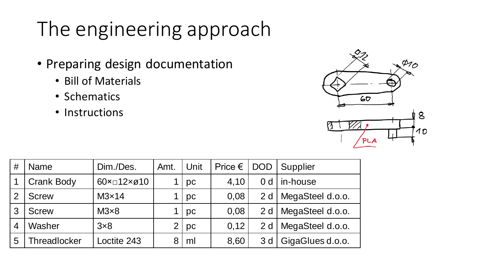### The engineering approach

- Preparing design documentation
	- Bill of Materials
	- Schematics
	- Instructions



| #              | <b>Name</b>         | Dim./Des.                 | Unit<br>Amt.   |        | Price $\epsilon$ | <b>DOD</b>     | Supplier         |  |
|----------------|---------------------|---------------------------|----------------|--------|------------------|----------------|------------------|--|
|                | <b>Crank Body</b>   | $60 \times 12 \times 010$ |                | pc     | 4,10             | 0 <sub>d</sub> | in-house         |  |
| 2              | <b>Screw</b>        | M3x14                     |                | pc     | 0,08             | 2d             | MegaSteel d.o.o. |  |
| 3              | <b>Screw</b>        | $M3\times8$               |                | pc     | 0,08             | 2d             | MegaSteel d.o.o. |  |
| $\overline{4}$ | Washer              | 3x8                       | $\overline{2}$ | $ $ pc | 0,12             | 2d             | MegaSteel d.o.o. |  |
| 5              | <b>Threadlocker</b> | Loctite 243               | 8              | ml     | 8,60             | 3 d            | GigaGlues d.o.o. |  |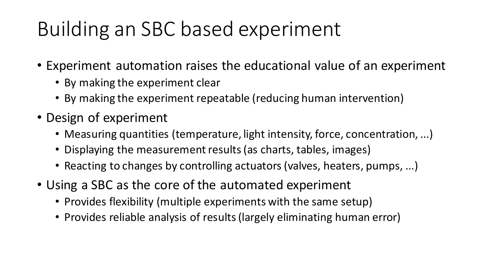# Building an SBC based experiment

- Experiment automation raises the educational value of an experiment
	- By making the experiment clear
	- By making the experiment repeatable (reducing human intervention)
- Design of experiment
	- Measuring quantities (temperature, light intensity, force, concentration, ...)
	- Displaying the measurement results (as charts, tables, images)
	- Reacting to changes by controlling actuators (valves, heaters, pumps, ...)
- Using a SBC as the core of the automated experiment
	- Provides flexibility (multiple experiments with the same setup)
	- Provides reliable analysis of results (largely eliminating human error)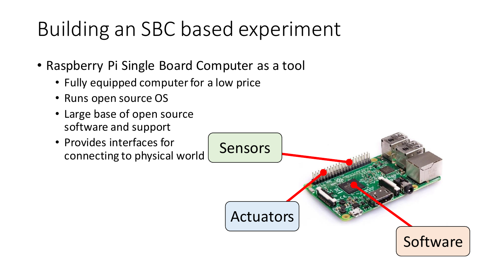# Building an SBC based experiment

- Raspberry Pi Single Board Computer as a tool
	- Fully equipped computer for a low price
	- Runs open source OS
	- Large base of open source software and support
	- Provides interfaces for connecting to physical world

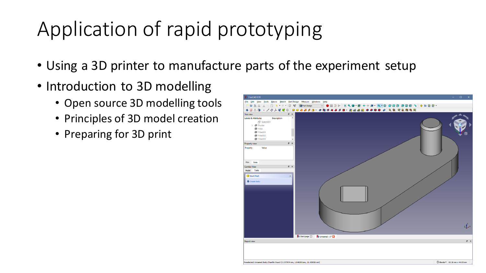# Application of rapid prototyping

- Using a 3D printer to manufacture parts of the experiment setup
- Introduction to 3D modelling
	- Open source 3D modelling tools
	- Principles of 3D model creation
	- Preparing for 3D print

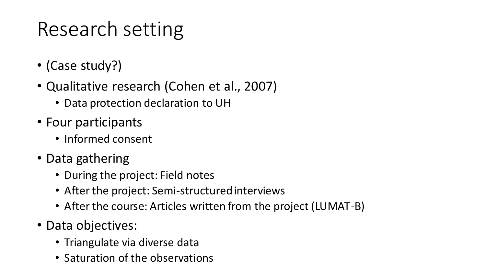# Research setting

- (Case study?)
- Qualitative research (Cohen et al., 2007)
	- Data protection declaration to UH
- Four participants
	- Informed consent
- Data gathering
	- During the project: Field notes
	- After the project: Semi-structured interviews
	- After the course: Articles written from the project (LUMAT-B)
- Data objectives:
	- Triangulate via diverse data
	- Saturation of the observations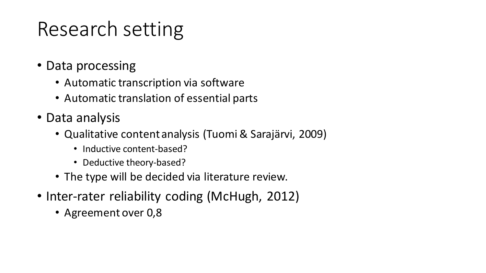# Research setting

- Data processing
	- Automatic transcription via software
	- Automatic translation of essential parts
- Data analysis
	- Qualitative content analysis (Tuomi & Sarajärvi, 2009)
		- Inductive content-based?
		- Deductive theory-based?
	- The type will be decided via literature review.
- Inter-rater reliability coding (McHugh, 2012)
	- Agreement over 0,8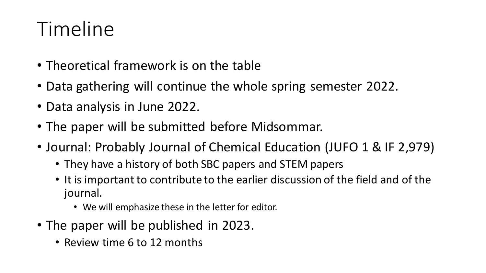### Timeline

- Theoretical framework is on the table
- Data gathering will continue the whole spring semester 2022.
- Data analysis in June 2022.
- The paper will be submitted before Midsommar.
- Journal: Probably Journal of Chemical Education (JUFO 1 & IF 2,979)
	- They have a history of both SBC papers and STEM papers
	- It is important to contribute to the earlier discussion of the field and of the journal.
		- We will emphasize these in the letter for editor.
- The paper will be published in 2023.
	- Review time 6 to 12 months